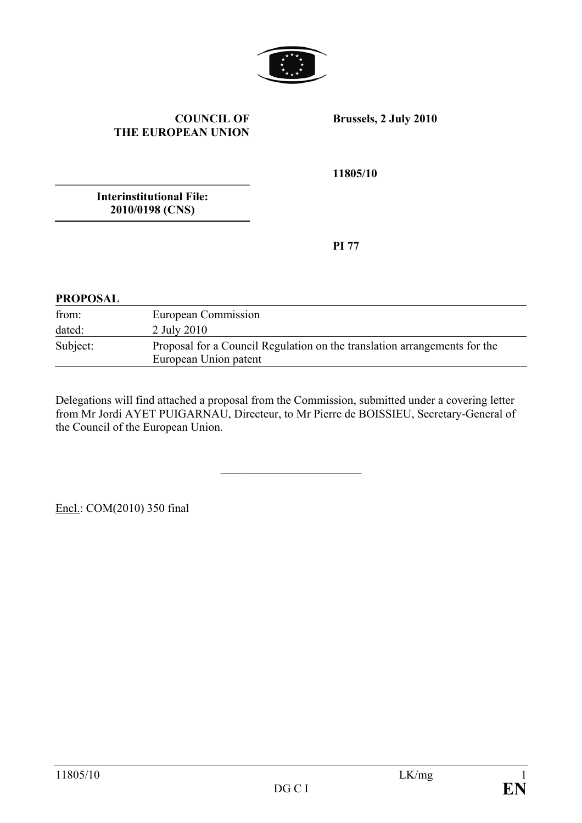

#### **COUNCIL OF THE EUROPEAN UNION**

**Brussels, 2 July 2010** 

**11805/10** 

**Interinstitutional File: 2010/0198 (CNS)** 

**PI 77** 

#### **PROPOSAL**

| from:    | European Commission                                                                                |
|----------|----------------------------------------------------------------------------------------------------|
| dated:   | 2 July 2010                                                                                        |
| Subject: | Proposal for a Council Regulation on the translation arrangements for the<br>European Union patent |

Delegations will find attached a proposal from the Commission, submitted under a covering letter from Mr Jordi AYET PUIGARNAU, Directeur, to Mr Pierre de BOISSIEU, Secretary-General of the Council of the European Union.

 $\overline{\phantom{a}}$  , where  $\overline{\phantom{a}}$ 

Encl.: COM(2010) 350 final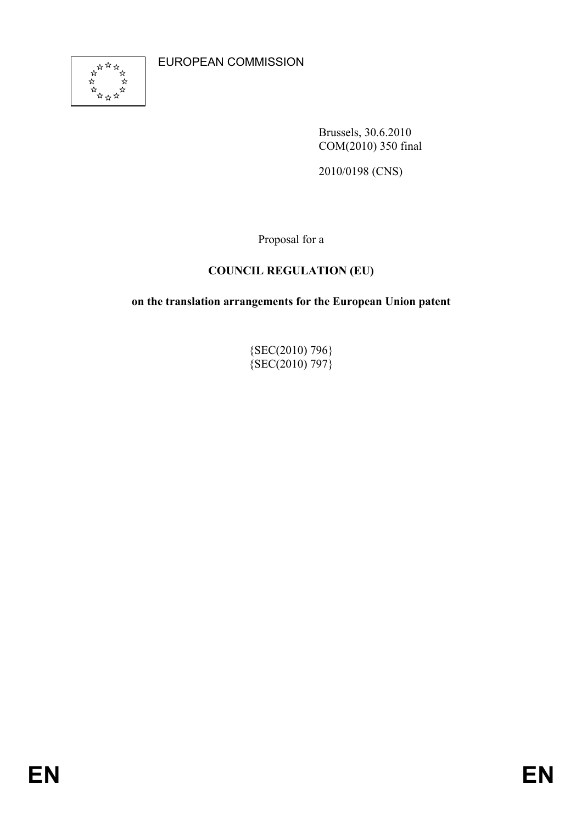EUROPEAN COMMISSION



Brussels, 30.6.2010 COM(2010) 350 final

2010/0198 (CNS)

Proposal for a

# **COUNCIL REGULATION (EU)**

**on the translation arrangements for the European Union patent** 

{SEC(2010) 796}  ${SEC(2010) 797}$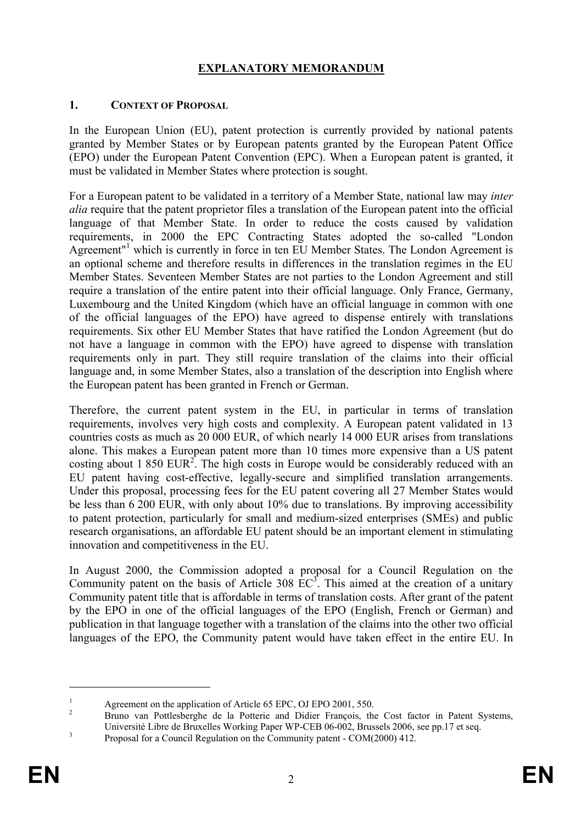## **EXPLANATORY MEMORANDUM**

#### **1. CONTEXT OF PROPOSAL**

In the European Union (EU), patent protection is currently provided by national patents granted by Member States or by European patents granted by the European Patent Office (EPO) under the European Patent Convention (EPC). When a European patent is granted, it must be validated in Member States where protection is sought.

For a European patent to be validated in a territory of a Member State, national law may *inter alia* require that the patent proprietor files a translation of the European patent into the official language of that Member State. In order to reduce the costs caused by validation requirements, in 2000 the EPC Contracting States adopted the so-called "London Agreement"<sup>1</sup> which is currently in force in ten EU Member States. The London Agreement is an optional scheme and therefore results in differences in the translation regimes in the EU Member States. Seventeen Member States are not parties to the London Agreement and still require a translation of the entire patent into their official language. Only France, Germany, Luxembourg and the United Kingdom (which have an official language in common with one of the official languages of the EPO) have agreed to dispense entirely with translations requirements. Six other EU Member States that have ratified the London Agreement (but do not have a language in common with the EPO) have agreed to dispense with translation requirements only in part. They still require translation of the claims into their official language and, in some Member States, also a translation of the description into English where the European patent has been granted in French or German.

Therefore, the current patent system in the EU, in particular in terms of translation requirements, involves very high costs and complexity. A European patent validated in 13 countries costs as much as 20 000 EUR, of which nearly 14 000 EUR arises from translations alone. This makes a European patent more than 10 times more expensive than a US patent costing about 1 850 EUR<sup>2</sup>. The high costs in Europe would be considerably reduced with an EU patent having cost-effective, legally-secure and simplified translation arrangements. Under this proposal, processing fees for the EU patent covering all 27 Member States would be less than 6 200 EUR, with only about 10% due to translations. By improving accessibility to patent protection, particularly for small and medium-sized enterprises (SMEs) and public research organisations, an affordable EU patent should be an important element in stimulating innovation and competitiveness in the EU.

In August 2000, the Commission adopted a proposal for a Council Regulation on the Community patent on the basis of Article 308  $\overline{EC}^3$ . This aimed at the creation of a unitary Community patent title that is affordable in terms of translation costs. After grant of the patent by the EPO in one of the official languages of the EPO (English, French or German) and publication in that language together with a translation of the claims into the other two official languages of the EPO, the Community patent would have taken effect in the entire EU. In

<sup>1</sup> Agreement on the application of Article 65 EPC, OJ EPO 2001, 550.

Bruno van Pottlesberghe de la Potterie and Didier François, the Cost factor in Patent Systems, Université Libre de Bruxelles Working Paper WP-CEB 06-002, Brussels 2006, see pp.17 et seq.<br>
Proposel for a Council Bombine on the Community patent. COM(2000) 412

Proposal for a Council Regulation on the Community patent - COM(2000) 412.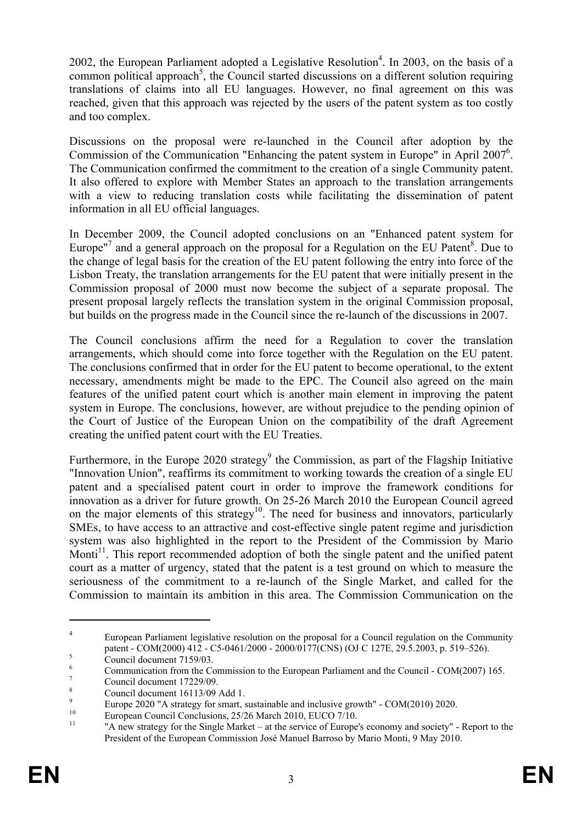2002, the European Parliament adopted a Legislative Resolution<sup>4</sup>. In 2003, on the basis of a common political approach<sup>5</sup>, the Council started discussions on a different solution requiring translations of claims into all EU languages. However, no final agreement on this was reached, given that this approach was rejected by the users of the patent system as too costly and too complex.

Discussions on the proposal were re-launched in the Council after adoption by the Commission of the Communication "Enhancing the patent system in Europe" in April 2007<sup>6</sup>. The Communication confirmed the commitment to the creation of a single Community patent. It also offered to explore with Member States an approach to the translation arrangements with a view to reducing translation costs while facilitating the dissemination of patent information in all EU official languages.

In December 2009, the Council adopted conclusions on an "Enhanced patent system for Europe"<sup>7</sup> and a general approach on the proposal for a Regulation on the EU Patent<sup>8</sup>. Due to the change of legal basis for the creation of the EU patent following the entry into force of the Lisbon Treaty, the translation arrangements for the EU patent that were initially present in the Commission proposal of 2000 must now become the subject of a separate proposal. The present proposal largely reflects the translation system in the original Commission proposal, but builds on the progress made in the Council since the re-launch of the discussions in 2007.

The Council conclusions affirm the need for a Regulation to cover the translation arrangements, which should come into force together with the Regulation on the EU patent. The conclusions confirmed that in order for the EU patent to become operational, to the extent necessary, amendments might be made to the EPC. The Council also agreed on the main features of the unified patent court which is another main element in improving the patent system in Europe. The conclusions, however, are without prejudice to the pending opinion of the Court of Justice of the European Union on the compatibility of the draft Agreement creating the unified patent court with the EU Treaties.

Furthermore, in the Europe 2020 strategy<sup>9</sup> the Commission, as part of the Flagship Initiative "Innovation Union", reaffirms its commitment to working towards the creation of a single EU patent and a specialised patent court in order to improve the framework conditions for innovation as a driver for future growth. On 25-26 March 2010 the European Council agreed on the major elements of this strategy<sup>10</sup>. The need for business and innovators, particularly SMEs, to have access to an attractive and cost-effective single patent regime and jurisdiction system was also highlighted in the report to the President of the Commission by Mario Monti<sup>11</sup>. This report recommended adoption of both the single patent and the unified patent court as a matter of urgency, stated that the patent is a test ground on which to measure the seriousness of the commitment to a re-launch of the Single Market, and called for the Commission to maintain its ambition in this area. The Commission Communication on the

<sup>4</sup> European Parliament legislative resolution on the proposal for a Council regulation on the Community patent - COM(2000) 412 - C5-0461/2000 - 2000/0177(CNS) (OJ C 127E, 29.5.2003, p. 519–526).

Council document 7159/03.

<sup>6</sup> Communication from the Commission to the European Parliament and the Council - COM(2007) 165. 7

Council document 17229/09.

<sup>8</sup> Council document 16113/09 Add 1.

<sup>9</sup> Europe 2020 "A strategy for smart, sustainable and inclusive growth" -  $COM(2010)$  2020.

<sup>&</sup>lt;sup>10</sup> European Council Conclusions,  $25/26$  March 2010, EUCO 7/10.

<sup>11 &</sup>quot;A new strategy for the Single Market – at the service of Europe's economy and society" - Report to the President of the European Commission José Manuel Barroso by Mario Monti, 9 May 2010.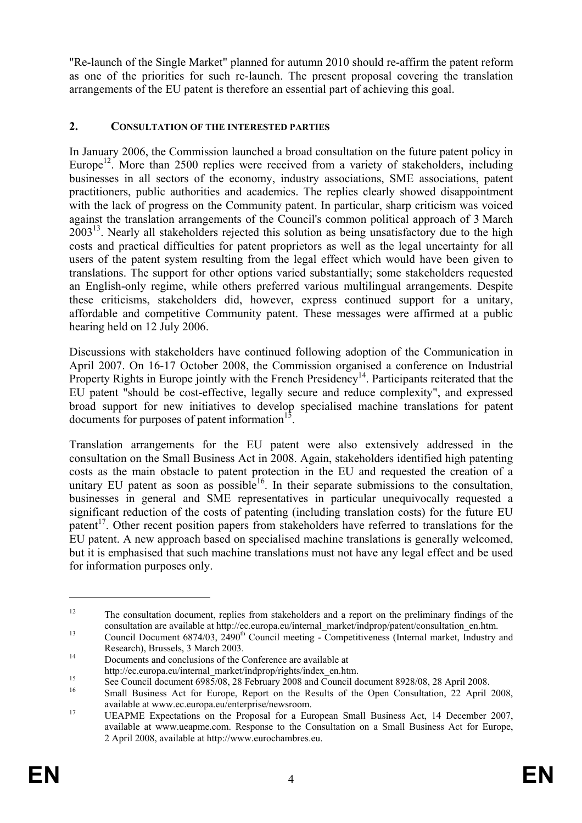"Re-launch of the Single Market" planned for autumn 2010 should re-affirm the patent reform as one of the priorities for such re-launch. The present proposal covering the translation arrangements of the EU patent is therefore an essential part of achieving this goal.

## **2. CONSULTATION OF THE INTERESTED PARTIES**

In January 2006, the Commission launched a broad consultation on the future patent policy in Europe<sup>12</sup>. More than 2500 replies were received from a variety of stakeholders, including businesses in all sectors of the economy, industry associations, SME associations, patent practitioners, public authorities and academics. The replies clearly showed disappointment with the lack of progress on the Community patent. In particular, sharp criticism was voiced against the translation arrangements of the Council's common political approach of 3 March  $2003<sup>13</sup>$ . Nearly all stakeholders rejected this solution as being unsatisfactory due to the high costs and practical difficulties for patent proprietors as well as the legal uncertainty for all users of the patent system resulting from the legal effect which would have been given to translations. The support for other options varied substantially; some stakeholders requested an English-only regime, while others preferred various multilingual arrangements. Despite these criticisms, stakeholders did, however, express continued support for a unitary, affordable and competitive Community patent. These messages were affirmed at a public hearing held on 12 July 2006.

Discussions with stakeholders have continued following adoption of the Communication in April 2007. On 16-17 October 2008, the Commission organised a conference on Industrial Property Rights in Europe jointly with the French Presidency<sup>14</sup>. Participants reiterated that the EU patent "should be cost-effective, legally secure and reduce complexity", and expressed broad support for new initiatives to develop specialised machine translations for patent documents for purposes of patent information $15$ .

Translation arrangements for the EU patent were also extensively addressed in the consultation on the Small Business Act in 2008. Again, stakeholders identified high patenting costs as the main obstacle to patent protection in the EU and requested the creation of a unitary EU patent as soon as possible<sup>16</sup>. In their separate submissions to the consultation, businesses in general and SME representatives in particular unequivocally requested a significant reduction of the costs of patenting (including translation costs) for the future EU patent<sup>17</sup>. Other recent position papers from stakeholders have referred to translations for the EU patent. A new approach based on specialised machine translations is generally welcomed, but it is emphasised that such machine translations must not have any legal effect and be used for information purposes only.

<sup>&</sup>lt;sup>12</sup> The consultation document, replies from stakeholders and a report on the preliminary findings of the

consultation are available at http://ec.europa.eu/internal\_market/indprop/patent/consultation\_en.htm.<br>
13 Council Document 6874/03, 2490<sup>th</sup> Council meeting - Competitiveness (Internal market, Industry and<br>
Research). Brus

<sup>14</sup> Documents and conclusions of the Conference are available at http://ec.europa.eu/internal market/indprop/rights/index en.htm.

http://ec.europa.eu/internal\_market/indprop/rights/index\_en.html. See Council document 6985/08, 28 February 2008 and Council document 8928/08, 28 April 2008.

Small Business Act for Europe, Report on the Results of the Open Consultation, 22 April 2008, available at www.ec.europa.eu/enterprise/newsroom. 17 UEAPME Expectations on the Proposal for a European Small Business Act, 14 December 2007,

available at www.ueapme.com. Response to the Consultation on a Small Business Act for Europe, 2 April 2008, available at http://www.eurochambres.eu.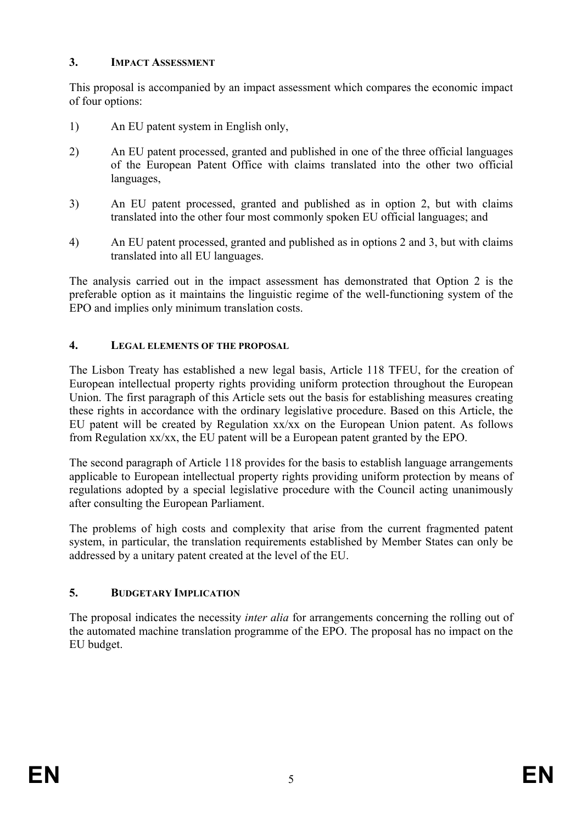## **3. IMPACT ASSESSMENT**

This proposal is accompanied by an impact assessment which compares the economic impact of four options:

- 1) An EU patent system in English only,
- 2) An EU patent processed, granted and published in one of the three official languages of the European Patent Office with claims translated into the other two official languages,
- 3) An EU patent processed, granted and published as in option 2, but with claims translated into the other four most commonly spoken EU official languages; and
- 4) An EU patent processed, granted and published as in options 2 and 3, but with claims translated into all EU languages.

The analysis carried out in the impact assessment has demonstrated that Option 2 is the preferable option as it maintains the linguistic regime of the well-functioning system of the EPO and implies only minimum translation costs.

## **4. LEGAL ELEMENTS OF THE PROPOSAL**

The Lisbon Treaty has established a new legal basis, Article 118 TFEU, for the creation of European intellectual property rights providing uniform protection throughout the European Union. The first paragraph of this Article sets out the basis for establishing measures creating these rights in accordance with the ordinary legislative procedure. Based on this Article, the EU patent will be created by Regulation xx/xx on the European Union patent. As follows from Regulation xx/xx, the EU patent will be a European patent granted by the EPO.

The second paragraph of Article 118 provides for the basis to establish language arrangements applicable to European intellectual property rights providing uniform protection by means of regulations adopted by a special legislative procedure with the Council acting unanimously after consulting the European Parliament.

The problems of high costs and complexity that arise from the current fragmented patent system, in particular, the translation requirements established by Member States can only be addressed by a unitary patent created at the level of the EU.

## **5. BUDGETARY IMPLICATION**

The proposal indicates the necessity *inter alia* for arrangements concerning the rolling out of the automated machine translation programme of the EPO. The proposal has no impact on the EU budget.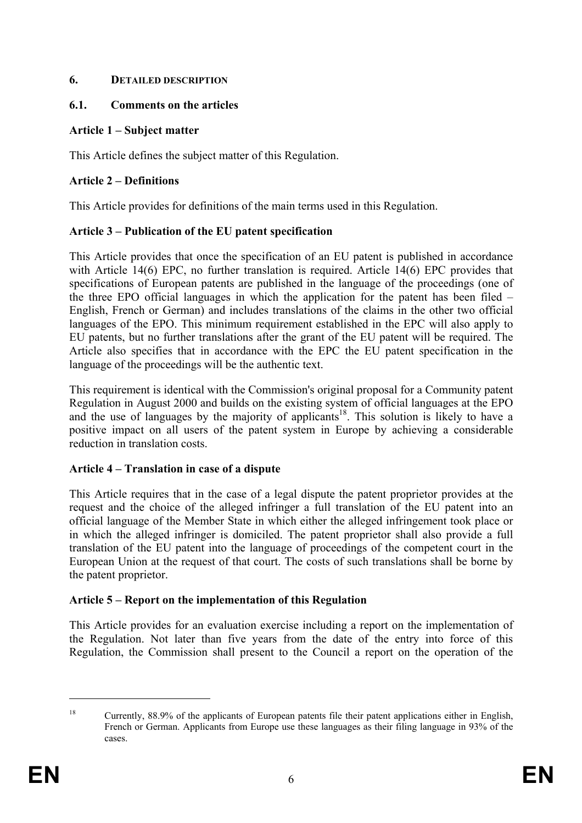## **6. DETAILED DESCRIPTION**

## **6.1. Comments on the articles**

## **Article 1 – Subject matter**

This Article defines the subject matter of this Regulation.

# **Article 2 – Definitions**

This Article provides for definitions of the main terms used in this Regulation.

## **Article 3 – Publication of the EU patent specification**

This Article provides that once the specification of an EU patent is published in accordance with Article 14(6) EPC, no further translation is required. Article 14(6) EPC provides that specifications of European patents are published in the language of the proceedings (one of the three EPO official languages in which the application for the patent has been filed – English, French or German) and includes translations of the claims in the other two official languages of the EPO. This minimum requirement established in the EPC will also apply to EU patents, but no further translations after the grant of the EU patent will be required. The Article also specifies that in accordance with the EPC the EU patent specification in the language of the proceedings will be the authentic text.

This requirement is identical with the Commission's original proposal for a Community patent Regulation in August 2000 and builds on the existing system of official languages at the EPO and the use of languages by the majority of applicants<sup>18</sup>. This solution is likely to have a positive impact on all users of the patent system in Europe by achieving a considerable reduction in translation costs.

# **Article 4 – Translation in case of a dispute**

This Article requires that in the case of a legal dispute the patent proprietor provides at the request and the choice of the alleged infringer a full translation of the EU patent into an official language of the Member State in which either the alleged infringement took place or in which the alleged infringer is domiciled. The patent proprietor shall also provide a full translation of the EU patent into the language of proceedings of the competent court in the European Union at the request of that court. The costs of such translations shall be borne by the patent proprietor.

# **Article 5 – Report on the implementation of this Regulation**

This Article provides for an evaluation exercise including a report on the implementation of the Regulation. Not later than five years from the date of the entry into force of this Regulation, the Commission shall present to the Council a report on the operation of the

<sup>&</sup>lt;sup>18</sup> Currently, 88.9% of the applicants of European patents file their patent applications either in English, French or German. Applicants from Europe use these languages as their filing language in 93% of the cases.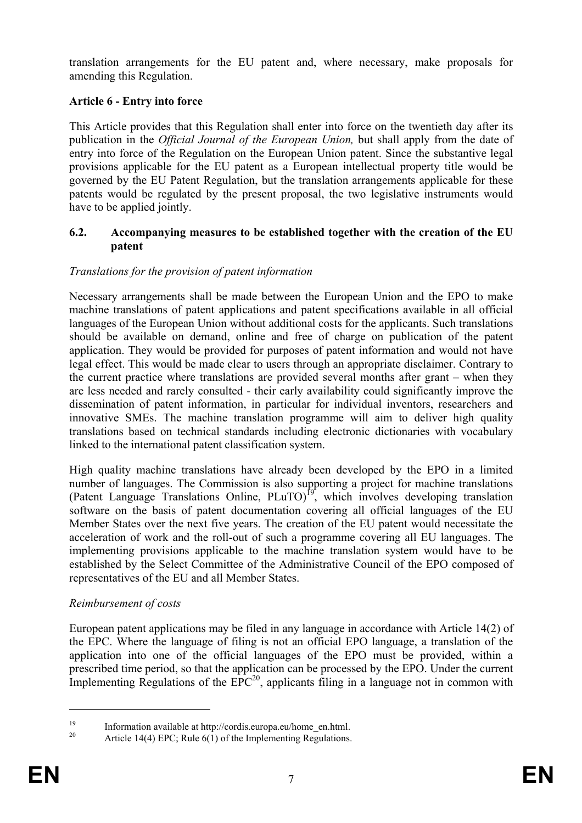translation arrangements for the EU patent and, where necessary, make proposals for amending this Regulation.

## **Article 6 - Entry into force**

This Article provides that this Regulation shall enter into force on the twentieth day after its publication in the *Official Journal of the European Union,* but shall apply from the date of entry into force of the Regulation on the European Union patent. Since the substantive legal provisions applicable for the EU patent as a European intellectual property title would be governed by the EU Patent Regulation, but the translation arrangements applicable for these patents would be regulated by the present proposal, the two legislative instruments would have to be applied jointly.

#### **6.2. Accompanying measures to be established together with the creation of the EU patent**

#### *Translations for the provision of patent information*

Necessary arrangements shall be made between the European Union and the EPO to make machine translations of patent applications and patent specifications available in all official languages of the European Union without additional costs for the applicants. Such translations should be available on demand, online and free of charge on publication of the patent application. They would be provided for purposes of patent information and would not have legal effect. This would be made clear to users through an appropriate disclaimer. Contrary to the current practice where translations are provided several months after grant – when they are less needed and rarely consulted - their early availability could significantly improve the dissemination of patent information, in particular for individual inventors, researchers and innovative SMEs. The machine translation programme will aim to deliver high quality translations based on technical standards including electronic dictionaries with vocabulary linked to the international patent classification system.

High quality machine translations have already been developed by the EPO in a limited number of languages. The Commission is also supporting a project for machine translations (Patent Language Translations Online,  $PLuTO$ )<sup>19</sup>, which involves developing translation software on the basis of patent documentation covering all official languages of the EU Member States over the next five years. The creation of the EU patent would necessitate the acceleration of work and the roll-out of such a programme covering all EU languages. The implementing provisions applicable to the machine translation system would have to be established by the Select Committee of the Administrative Council of the EPO composed of representatives of the EU and all Member States.

## *Reimbursement of costs*

European patent applications may be filed in any language in accordance with Article 14(2) of the EPC. Where the language of filing is not an official EPO language, a translation of the application into one of the official languages of the EPO must be provided, within a prescribed time period, so that the application can be processed by the EPO. Under the current Implementing Regulations of the  $EPC^{20}$ , applicants filing in a language not in common with

<u>.</u>

<sup>&</sup>lt;sup>19</sup> Information available at http://cordis.europa.eu/home\_en.html.<br><sup>20</sup> Article 14(4) EPG: Puls  $f(1)$  of the Implementing Possibilities

Article 14(4) EPC; Rule  $6(1)$  of the Implementing Regulations.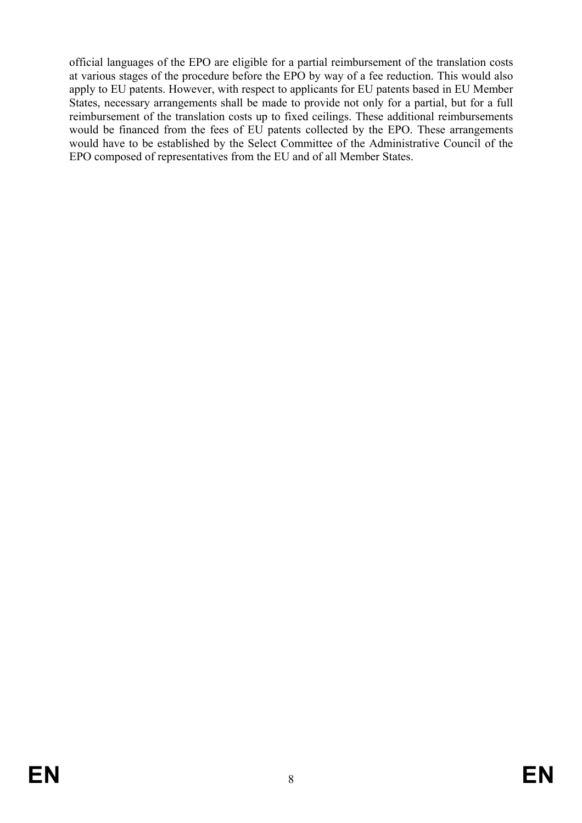official languages of the EPO are eligible for a partial reimbursement of the translation costs at various stages of the procedure before the EPO by way of a fee reduction. This would also apply to EU patents. However, with respect to applicants for EU patents based in EU Member States, necessary arrangements shall be made to provide not only for a partial, but for a full reimbursement of the translation costs up to fixed ceilings. These additional reimbursements would be financed from the fees of EU patents collected by the EPO. These arrangements would have to be established by the Select Committee of the Administrative Council of the EPO composed of representatives from the EU and of all Member States.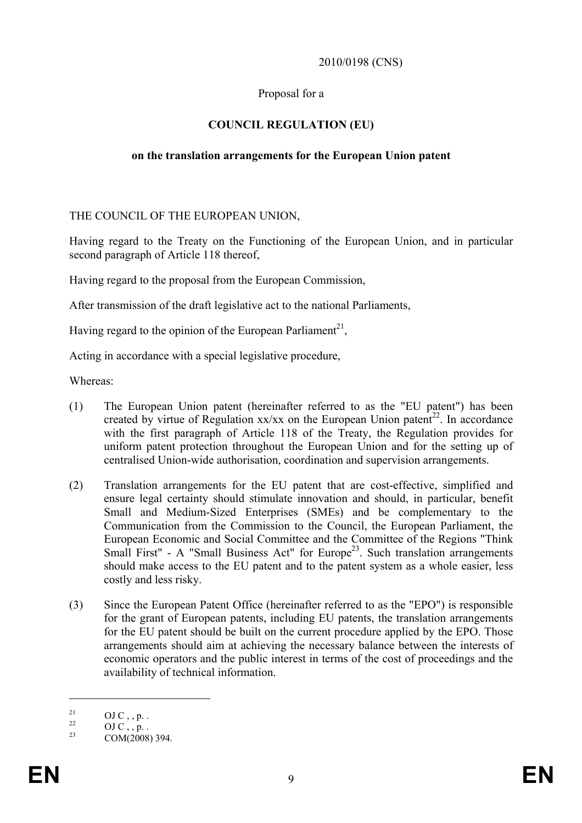#### 2010/0198 (CNS)

#### Proposal for a

## **COUNCIL REGULATION (EU)**

#### **on the translation arrangements for the European Union patent**

THE COUNCIL OF THE EUROPEAN UNION,

Having regard to the Treaty on the Functioning of the European Union, and in particular second paragraph of Article 118 thereof,

Having regard to the proposal from the European Commission,

After transmission of the draft legislative act to the national Parliaments,

Having regard to the opinion of the European Parliament<sup>21</sup>,

Acting in accordance with a special legislative procedure,

Whereas:

- (1) The European Union patent (hereinafter referred to as the "EU patent") has been created by virtue of Regulation  $xx/xx$  on the European Union patent<sup>22</sup>. In accordance with the first paragraph of Article 118 of the Treaty, the Regulation provides for uniform patent protection throughout the European Union and for the setting up of centralised Union-wide authorisation, coordination and supervision arrangements.
- (2) Translation arrangements for the EU patent that are cost-effective, simplified and ensure legal certainty should stimulate innovation and should, in particular, benefit Small and Medium-Sized Enterprises (SMEs) and be complementary to the Communication from the Commission to the Council, the European Parliament, the European Economic and Social Committee and the Committee of the Regions "Think Small First" - A "Small Business Act" for Europe<sup>23</sup>. Such translation arrangements should make access to the EU patent and to the patent system as a whole easier, less costly and less risky.
- (3) Since the European Patent Office (hereinafter referred to as the "EPO") is responsible for the grant of European patents, including EU patents, the translation arrangements for the EU patent should be built on the current procedure applied by the EPO. Those arrangements should aim at achieving the necessary balance between the interests of economic operators and the public interest in terms of the cost of proceedings and the availability of technical information.

 $^{21}_{22}$  OJ C, , p. .

 $^{22}$  OJ C, , p. .<br>  $^{23}$  COM(2009)

COM(2008) 394.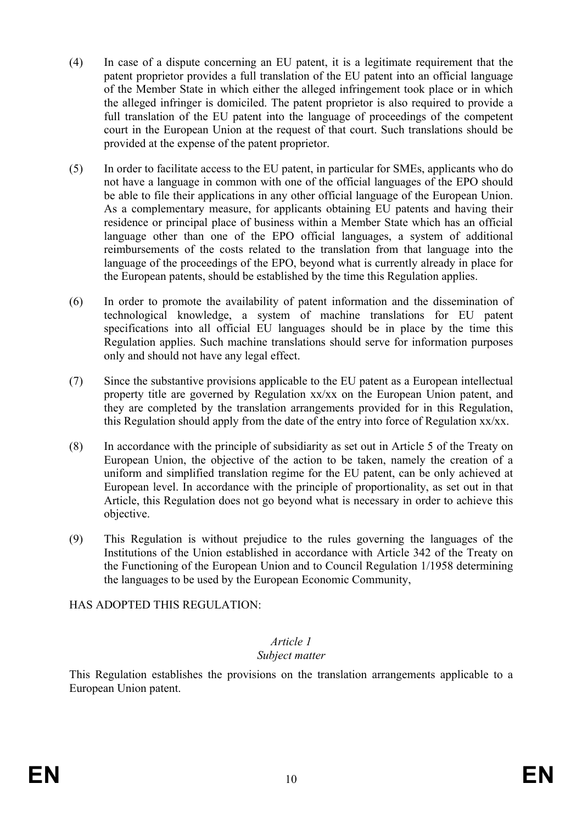- (4) In case of a dispute concerning an EU patent, it is a legitimate requirement that the patent proprietor provides a full translation of the EU patent into an official language of the Member State in which either the alleged infringement took place or in which the alleged infringer is domiciled. The patent proprietor is also required to provide a full translation of the EU patent into the language of proceedings of the competent court in the European Union at the request of that court. Such translations should be provided at the expense of the patent proprietor.
- (5) In order to facilitate access to the EU patent, in particular for SMEs, applicants who do not have a language in common with one of the official languages of the EPO should be able to file their applications in any other official language of the European Union. As a complementary measure, for applicants obtaining EU patents and having their residence or principal place of business within a Member State which has an official language other than one of the EPO official languages, a system of additional reimbursements of the costs related to the translation from that language into the language of the proceedings of the EPO, beyond what is currently already in place for the European patents, should be established by the time this Regulation applies.
- (6) In order to promote the availability of patent information and the dissemination of technological knowledge, a system of machine translations for EU patent specifications into all official EU languages should be in place by the time this Regulation applies. Such machine translations should serve for information purposes only and should not have any legal effect.
- (7) Since the substantive provisions applicable to the EU patent as a European intellectual property title are governed by Regulation xx/xx on the European Union patent, and they are completed by the translation arrangements provided for in this Regulation, this Regulation should apply from the date of the entry into force of Regulation xx/xx.
- (8) In accordance with the principle of subsidiarity as set out in Article 5 of the Treaty on European Union, the objective of the action to be taken, namely the creation of a uniform and simplified translation regime for the EU patent, can be only achieved at European level. In accordance with the principle of proportionality, as set out in that Article, this Regulation does not go beyond what is necessary in order to achieve this objective.
- (9) This Regulation is without prejudice to the rules governing the languages of the Institutions of the Union established in accordance with Article 342 of the Treaty on the Functioning of the European Union and to Council Regulation 1/1958 determining the languages to be used by the European Economic Community,

HAS ADOPTED THIS REGULATION:

#### *Article 1 Subject matter*

This Regulation establishes the provisions on the translation arrangements applicable to a European Union patent.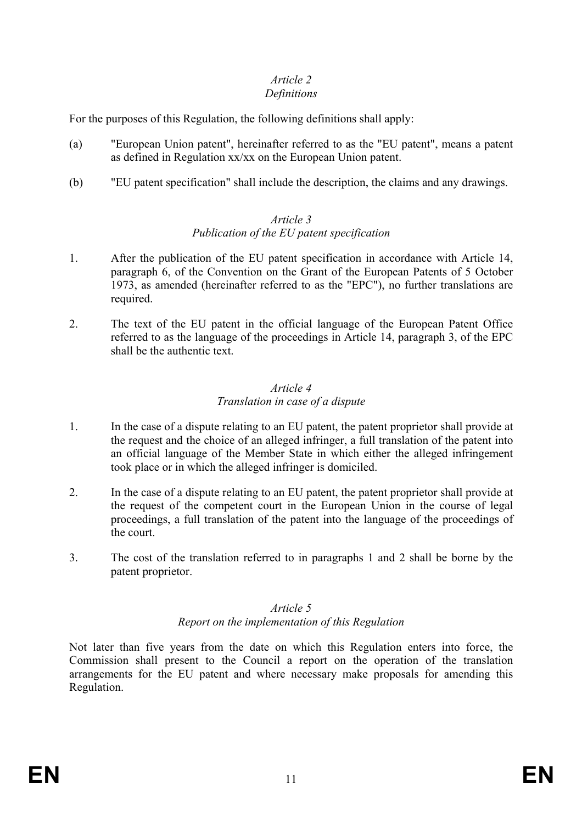# *Article 2*

## *Definitions*

For the purposes of this Regulation, the following definitions shall apply:

- (a) "European Union patent", hereinafter referred to as the "EU patent", means a patent as defined in Regulation xx/xx on the European Union patent.
- (b) "EU patent specification" shall include the description, the claims and any drawings.

## *Article 3*

# *Publication of the EU patent specification*

- 1. After the publication of the EU patent specification in accordance with Article 14, paragraph 6, of the Convention on the Grant of the European Patents of 5 October 1973, as amended (hereinafter referred to as the "EPC"), no further translations are required.
- 2. The text of the EU patent in the official language of the European Patent Office referred to as the language of the proceedings in Article 14, paragraph 3, of the EPC shall be the authentic text.

#### *Article 4 Translation in case of a dispute*

- 1. In the case of a dispute relating to an EU patent, the patent proprietor shall provide at the request and the choice of an alleged infringer, a full translation of the patent into an official language of the Member State in which either the alleged infringement took place or in which the alleged infringer is domiciled.
- 2. In the case of a dispute relating to an EU patent, the patent proprietor shall provide at the request of the competent court in the European Union in the course of legal proceedings, a full translation of the patent into the language of the proceedings of the court.
- 3. The cost of the translation referred to in paragraphs 1 and 2 shall be borne by the patent proprietor.

# *Article 5*

## *Report on the implementation of this Regulation*

Not later than five years from the date on which this Regulation enters into force, the Commission shall present to the Council a report on the operation of the translation arrangements for the EU patent and where necessary make proposals for amending this Regulation.